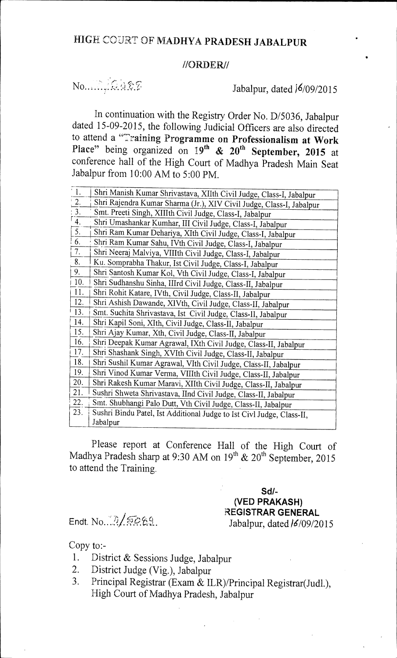## //ORDER//

## 

## Jabalpur, dated  $16/09/2015$

In continuation with the Registry Order No. D/5036, Jabalpur dated 15-09-2015, the following Judicial Officers are also directed to attend a "Training Programme on Professionalism at Work Place" being organized on  $19<sup>th</sup>$  &  $20<sup>th</sup>$  September, 2015 at conference hall of the High Court of Madhya Pradesh Main Seat Jabalpur from 10:00 AM to 5:00 PM.

| $\mathbf{L}$     | Shri Manish Kumar Shrivastava, XIIth Civil Judge, Class-I, Jabalpur   |
|------------------|-----------------------------------------------------------------------|
| $\frac{2}{3}$    | Shri Rajendra Kumar Sharma (Jr.), XIV Civil Judge, Class-I, Jabalpur  |
|                  | Smt. Preeti Singh, XIIIth Civil Judge, Class-I, Jabalpur              |
| $\overline{4}$ . | Shri Umashankar Kumhar, III Civil Judge, Class-I, Jabalpur            |
| $\overline{5}$ . | Shri Ram Kumar Dehariya, XIth Civil Judge, Class-I, Jabalpur          |
| 6.               | Shri Ram Kumar Sahu, IVth Civil Judge, Class-I, Jabalpur              |
| 7.               | Shri Neeraj Malviya, VIIIth Civil Judge, Class-I, Jabalpur            |
| 8.               | Ku. Somprabha Thakur, Ist Civil Judge, Class-I, Jabalpur              |
| 9.               | Shri Santosh Kumar Kol, Vth Civil Judge, Class-I, Jabalpur            |
| 10.              | Shri Sudhanshu Sinha, IIIrd Civil Judge, Class-II, Jabalpur           |
| 11.              | Shri Rohit Katare, IVth, Civil Judge, Class-II, Jabalpur              |
| 12.              | Shri Ashish Dawande, XIVth, Civil Judge, Class-II, Jabalpur           |
| 13.              | Smt. Suchita Shrivastava, Ist Civil Judge, Class-II, Jabalpur         |
| 14.              | Shri Kapil Soni, XIth, Civil Judge, Class-II, Jabalpur                |
| 15.              | Shri Ajay Kumar, Xth, Civil Judge, Class-II, Jabalpur                 |
| 16.              | Shri Deepak Kumar Agrawal, IXth Civil Judge, Class-II, Jabalpur       |
| 17.              | Shri Shashank Singh, XVIth Civil Judge, Class-II, Jabalpur            |
| 18.              | Shri Sushil Kumar Agrawal, VIth Civil Judge, Class-II, Jabalpur       |
| 19.              | Shri Vinod Kumar Verma, VIIIth Civil Judge, Class-II, Jabalpur        |
| 20.              | Shri Rakesh Kumar Maravi, XIIth Civil Judge, Class-II, Jabalpur       |
| 21.              | Sushri Shweta Shrivastava, IInd Civil Judge, Class-II, Jabalpur       |
| 22.              | Smt. Shubhangi Palo Dutt, Vth Civil Judge, Class-II, Jabalpur         |
| 23.              | Sushri Bindu Patel, Ist Additional Judge to Ist Civl Judge, Class-II, |
|                  | Jabalpur                                                              |

Please report at Conference Hall of the High Court of Madhya Pradesh sharp at 9:30 AM on  $19^{th}$  &  $20^{th}$  September, 2015 to attend the Training.

Sd/- (VED PRAKASH) REGISTRAR GENERAL Endt. No.. c,.. Jabalpur, dated /6/09/2015

Copy to:-

- 1. District & Sessions Judge, Jabalpur
- 2. District Judge (Vig.), Jabalpur
- 3. Principal Registrar (Exam & ILR)/Principal Registrar(Judl.), High Court of Madhya Pradesh, Jabalpur